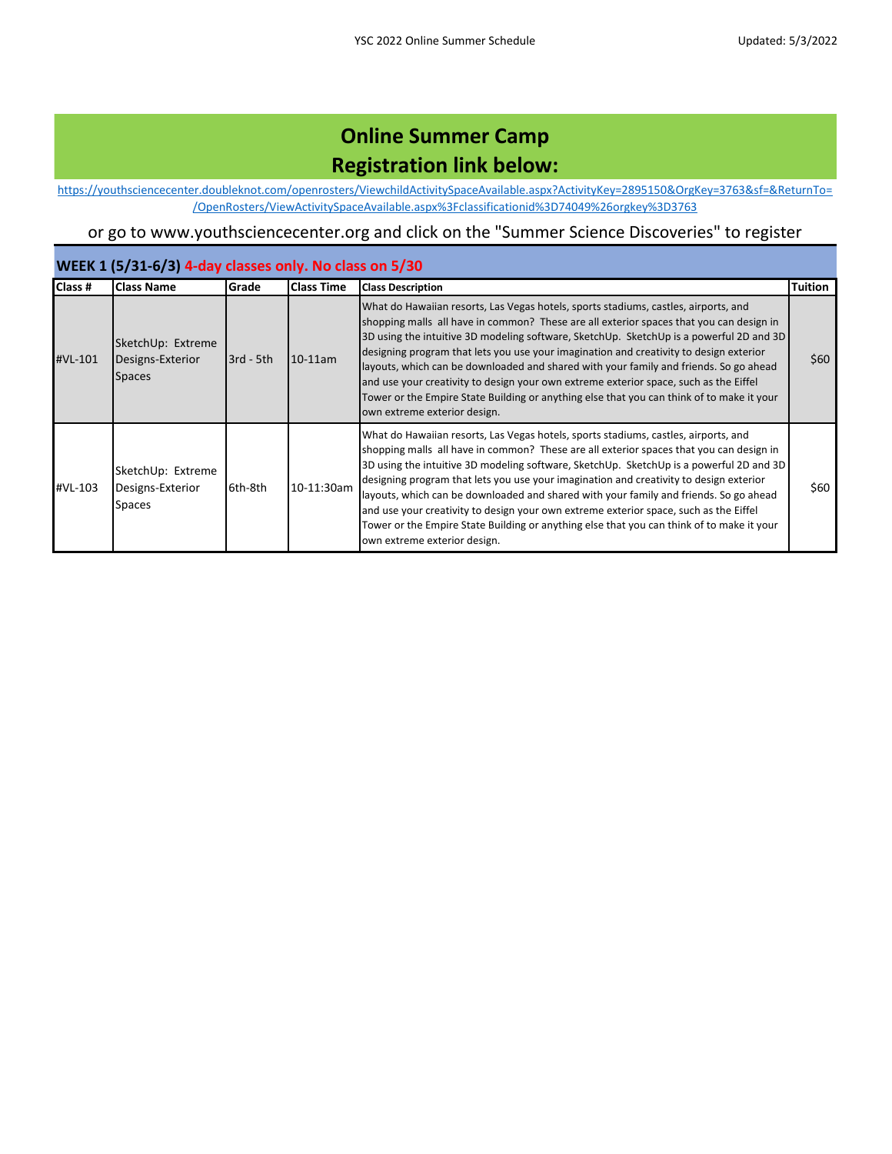[https://you](https://youthsciencecenter.doubleknot.com/openrosters/ViewchildActivitySpaceAvailable.aspx?ActivityKey=2895150&OrgKey=3763&sf=&ReturnTo=/OpenRosters/ViewActivitySpaceAvailable.aspx%3Fclassificationid%3D74049%26orgkey%3D3763)thsciencecenter.doubleknot.com/openrosters/ViewchildActivitySpaceAvailable.aspx?ActivityKey=2895150&OrgKey=3763&sf=&ReturnTo= /OpenRosters/ViewActivitySpaceAvailable.aspx%3Fclassificationid%3D74049%26orgkey%3D3763

### or go to www.youthsciencecenter.org and click on the "Summer Science Discoveries" to register

#### **WEEK 1 (5/31-6/3) 4-day classes only. No class on 5/30**

| Class # | <b>Class Name</b>                                      | Grade       | <b>Class Time</b> | <b>Class Description</b>                                                                                                                                                                                                                                                                                                                                                                                                                                                                                                                                                                                                                                                           | <b>Tuition</b> |
|---------|--------------------------------------------------------|-------------|-------------------|------------------------------------------------------------------------------------------------------------------------------------------------------------------------------------------------------------------------------------------------------------------------------------------------------------------------------------------------------------------------------------------------------------------------------------------------------------------------------------------------------------------------------------------------------------------------------------------------------------------------------------------------------------------------------------|----------------|
| #VL-101 | SketchUp: Extreme<br>Designs-Exterior<br><b>Spaces</b> | $3rd - 5th$ | $10-11$ am        | What do Hawaiian resorts, Las Vegas hotels, sports stadiums, castles, airports, and<br>shopping malls all have in common? These are all exterior spaces that you can design in<br>3D using the intuitive 3D modeling software, SketchUp. SketchUp is a powerful 2D and 3D<br>designing program that lets you use your imagination and creativity to design exterior<br>layouts, which can be downloaded and shared with your family and friends. So go ahead<br>and use your creativity to design your own extreme exterior space, such as the Eiffel<br>Tower or the Empire State Building or anything else that you can think of to make it your<br>own extreme exterior design. | \$60           |
| #VL-103 | SketchUp: Extreme<br>Designs-Exterior<br><b>Spaces</b> | 6th-8th     | 10-11:30am        | What do Hawaiian resorts, Las Vegas hotels, sports stadiums, castles, airports, and<br>shopping malls all have in common? These are all exterior spaces that you can design in<br>3D using the intuitive 3D modeling software, SketchUp. SketchUp is a powerful 2D and 3D<br>designing program that lets you use your imagination and creativity to design exterior<br>layouts, which can be downloaded and shared with your family and friends. So go ahead<br>and use your creativity to design your own extreme exterior space, such as the Eiffel<br>Tower or the Empire State Building or anything else that you can think of to make it your<br>own extreme exterior design. | \$60           |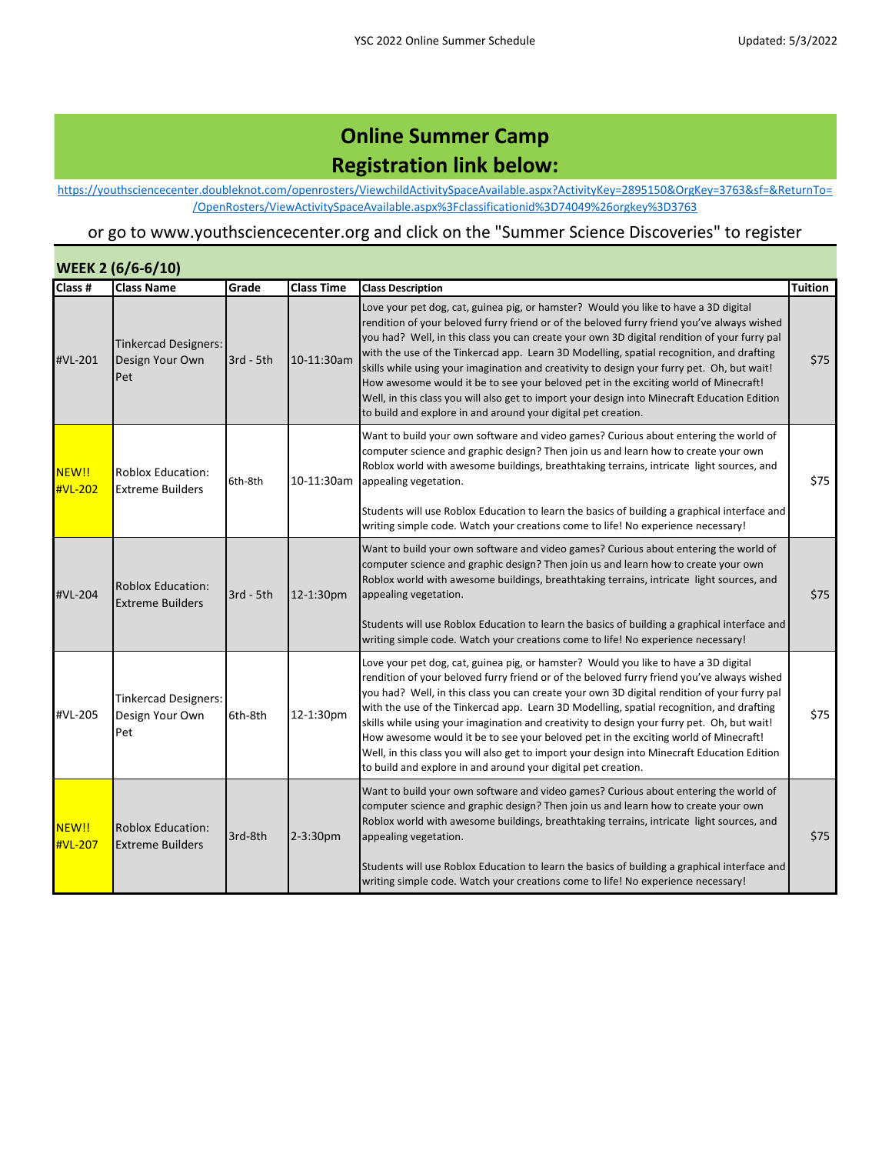[https://you](https://youthsciencecenter.doubleknot.com/openrosters/ViewchildActivitySpaceAvailable.aspx?ActivityKey=2895150&OrgKey=3763&sf=&ReturnTo=/OpenRosters/ViewActivitySpaceAvailable.aspx%3Fclassificationid%3D74049%26orgkey%3D3763)thsciencecenter.doubleknot.com/openrosters/ViewchildActivitySpaceAvailable.aspx?ActivityKey=2895150&OrgKey=3763&sf=&ReturnTo= /OpenRosters/ViewActivitySpaceAvailable.aspx%3Fclassificationid%3D74049%26orgkey%3D3763

|                  | <b>WEEK 2 (6/6-6/10)</b>                              |             |                   |                                                                                                                                                                                                                                                                                                                                                                                                                                                                                                                                                                                                                                                                                                                                    |                |
|------------------|-------------------------------------------------------|-------------|-------------------|------------------------------------------------------------------------------------------------------------------------------------------------------------------------------------------------------------------------------------------------------------------------------------------------------------------------------------------------------------------------------------------------------------------------------------------------------------------------------------------------------------------------------------------------------------------------------------------------------------------------------------------------------------------------------------------------------------------------------------|----------------|
| Class #          | <b>Class Name</b>                                     | Grade       | <b>Class Time</b> | <b>Class Description</b>                                                                                                                                                                                                                                                                                                                                                                                                                                                                                                                                                                                                                                                                                                           | <b>Tuition</b> |
| #VL-201          | Tinkercad Designers:<br>Design Your Own<br>Pet        | 3rd - 5th   | 10-11:30am        | Love your pet dog, cat, guinea pig, or hamster? Would you like to have a 3D digital<br>rendition of your beloved furry friend or of the beloved furry friend you've always wished<br>you had? Well, in this class you can create your own 3D digital rendition of your furry pal<br>with the use of the Tinkercad app. Learn 3D Modelling, spatial recognition, and drafting<br>skills while using your imagination and creativity to design your furry pet. Oh, but wait!<br>How awesome would it be to see your beloved pet in the exciting world of Minecraft!<br>Well, in this class you will also get to import your design into Minecraft Education Edition<br>to build and explore in and around your digital pet creation. | \$75           |
| NEW!!<br>#VL-202 | Roblox Education:<br><b>Extreme Builders</b>          | 6th-8th     | 10-11:30am        | Want to build your own software and video games? Curious about entering the world of<br>computer science and graphic design? Then join us and learn how to create your own<br>Roblox world with awesome buildings, breathtaking terrains, intricate light sources, and<br>appealing vegetation.<br>Students will use Roblox Education to learn the basics of building a graphical interface and<br>writing simple code. Watch your creations come to life! No experience necessary!                                                                                                                                                                                                                                                | \$75           |
| #VL-204          | <b>Roblox Education:</b><br><b>Extreme Builders</b>   | $3rd - 5th$ | 12-1:30pm         | Want to build your own software and video games? Curious about entering the world of<br>computer science and graphic design? Then join us and learn how to create your own<br>Roblox world with awesome buildings, breathtaking terrains, intricate light sources, and<br>appealing vegetation.<br>Students will use Roblox Education to learn the basics of building a graphical interface and<br>writing simple code. Watch your creations come to life! No experience necessary!                                                                                                                                                                                                                                                | \$75           |
| #VL-205          | <b>Tinkercad Designers:</b><br>Design Your Own<br>Pet | 6th-8th     | 12-1:30pm         | Love your pet dog, cat, guinea pig, or hamster? Would you like to have a 3D digital<br>rendition of your beloved furry friend or of the beloved furry friend you've always wished<br>you had? Well, in this class you can create your own 3D digital rendition of your furry pal<br>with the use of the Tinkercad app. Learn 3D Modelling, spatial recognition, and drafting<br>skills while using your imagination and creativity to design your furry pet. Oh, but wait!<br>How awesome would it be to see your beloved pet in the exciting world of Minecraft!<br>Well, in this class you will also get to import your design into Minecraft Education Edition<br>to build and explore in and around your digital pet creation. | \$75           |
| NEW!!<br>#VL-207 | <b>Roblox Education:</b><br><b>Extreme Builders</b>   | 3rd-8th     | 2-3:30pm          | Want to build your own software and video games? Curious about entering the world of<br>computer science and graphic design? Then join us and learn how to create your own<br>Roblox world with awesome buildings, breathtaking terrains, intricate light sources, and<br>appealing vegetation.<br>Students will use Roblox Education to learn the basics of building a graphical interface and<br>writing simple code. Watch your creations come to life! No experience necessary!                                                                                                                                                                                                                                                | \$75           |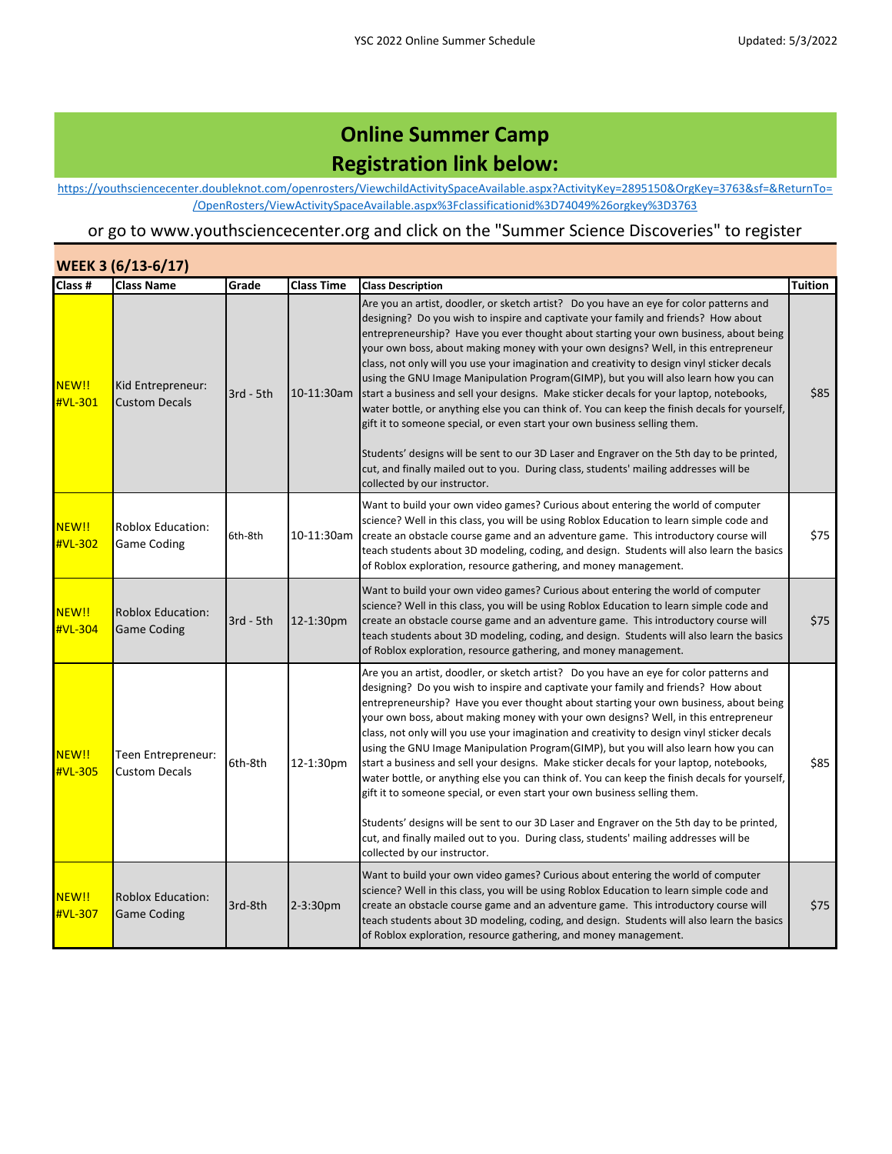[https://you](https://youthsciencecenter.doubleknot.com/openrosters/ViewchildActivitySpaceAvailable.aspx?ActivityKey=2895150&OrgKey=3763&sf=&ReturnTo=/OpenRosters/ViewActivitySpaceAvailable.aspx%3Fclassificationid%3D74049%26orgkey%3D3763)thsciencecenter.doubleknot.com/openrosters/ViewchildActivitySpaceAvailable.aspx?ActivityKey=2895150&OrgKey=3763&sf=&ReturnTo= /OpenRosters/ViewActivitySpaceAvailable.aspx%3Fclassificationid%3D74049%26orgkey%3D3763

|                  | WEEK 3 (6/13-6/17)                             |             |                   |                                                                                                                                                                                                                                                                                                                                                                                                                                                                                                                                                                                                                                                                                                                                                                                                                                                                                                                                                                                                                                                    |         |  |  |
|------------------|------------------------------------------------|-------------|-------------------|----------------------------------------------------------------------------------------------------------------------------------------------------------------------------------------------------------------------------------------------------------------------------------------------------------------------------------------------------------------------------------------------------------------------------------------------------------------------------------------------------------------------------------------------------------------------------------------------------------------------------------------------------------------------------------------------------------------------------------------------------------------------------------------------------------------------------------------------------------------------------------------------------------------------------------------------------------------------------------------------------------------------------------------------------|---------|--|--|
| Class #          | <b>Class Name</b>                              | Grade       | <b>Class Time</b> | <b>Class Description</b>                                                                                                                                                                                                                                                                                                                                                                                                                                                                                                                                                                                                                                                                                                                                                                                                                                                                                                                                                                                                                           | Tuition |  |  |
| NEW!!<br>#VL-301 | Kid Entrepreneur:<br><b>Custom Decals</b>      | $3rd - 5th$ |                   | Are you an artist, doodler, or sketch artist? Do you have an eye for color patterns and<br>designing? Do you wish to inspire and captivate your family and friends? How about<br>entrepreneurship? Have you ever thought about starting your own business, about being<br>your own boss, about making money with your own designs? Well, in this entrepreneur<br>class, not only will you use your imagination and creativity to design vinyl sticker decals<br>using the GNU Image Manipulation Program(GIMP), but you will also learn how you can<br>10-11:30am start a business and sell your designs. Make sticker decals for your laptop, notebooks,<br>water bottle, or anything else you can think of. You can keep the finish decals for yourself,<br>gift it to someone special, or even start your own business selling them.<br>Students' designs will be sent to our 3D Laser and Engraver on the 5th day to be printed,<br>cut, and finally mailed out to you. During class, students' mailing addresses will be                      | \$85    |  |  |
|                  |                                                |             |                   | collected by our instructor.                                                                                                                                                                                                                                                                                                                                                                                                                                                                                                                                                                                                                                                                                                                                                                                                                                                                                                                                                                                                                       |         |  |  |
| NEW!!<br>#VL-302 | <b>Roblox Education:</b><br><b>Game Coding</b> | 6th-8th     | 10-11:30am        | Want to build your own video games? Curious about entering the world of computer<br>science? Well in this class, you will be using Roblox Education to learn simple code and<br>create an obstacle course game and an adventure game. This introductory course will<br>teach students about 3D modeling, coding, and design. Students will also learn the basics<br>of Roblox exploration, resource gathering, and money management.                                                                                                                                                                                                                                                                                                                                                                                                                                                                                                                                                                                                               | \$75    |  |  |
| NEW!!<br>#VL-304 | <b>Roblox Education:</b><br><b>Game Coding</b> | 3rd - 5th   | 12-1:30pm         | Want to build your own video games? Curious about entering the world of computer<br>science? Well in this class, you will be using Roblox Education to learn simple code and<br>create an obstacle course game and an adventure game. This introductory course will<br>teach students about 3D modeling, coding, and design. Students will also learn the basics<br>of Roblox exploration, resource gathering, and money management.                                                                                                                                                                                                                                                                                                                                                                                                                                                                                                                                                                                                               | \$75    |  |  |
| NEW!!<br>#VL-305 | Teen Entrepreneur:<br><b>Custom Decals</b>     | 6th-8th     | 12-1:30pm         | Are you an artist, doodler, or sketch artist? Do you have an eye for color patterns and<br>designing? Do you wish to inspire and captivate your family and friends? How about<br>entrepreneurship? Have you ever thought about starting your own business, about being<br>your own boss, about making money with your own designs? Well, in this entrepreneur<br>class, not only will you use your imagination and creativity to design vinyl sticker decals<br>using the GNU Image Manipulation Program(GIMP), but you will also learn how you can<br>start a business and sell your designs. Make sticker decals for your laptop, notebooks,<br>water bottle, or anything else you can think of. You can keep the finish decals for yourself,<br>gift it to someone special, or even start your own business selling them.<br>Students' designs will be sent to our 3D Laser and Engraver on the 5th day to be printed,<br>cut, and finally mailed out to you. During class, students' mailing addresses will be<br>collected by our instructor. | \$85    |  |  |
| NEW!!<br>#VL-307 | <b>Roblox Education:</b><br><b>Game Coding</b> | 3rd-8th     | $2 - 3:30pm$      | Want to build your own video games? Curious about entering the world of computer<br>science? Well in this class, you will be using Roblox Education to learn simple code and<br>create an obstacle course game and an adventure game. This introductory course will<br>teach students about 3D modeling, coding, and design. Students will also learn the basics<br>of Roblox exploration, resource gathering, and money management.                                                                                                                                                                                                                                                                                                                                                                                                                                                                                                                                                                                                               | \$75    |  |  |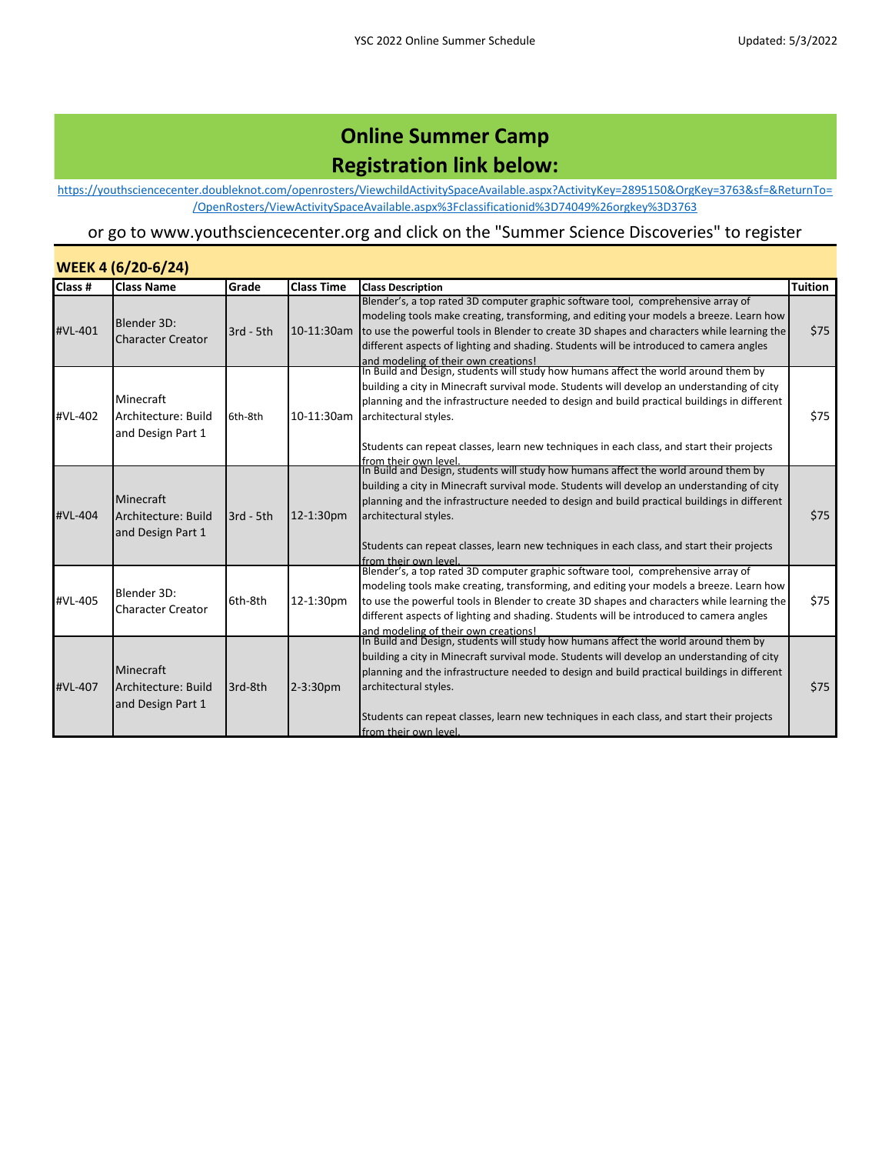[https://you](https://youthsciencecenter.doubleknot.com/openrosters/ViewchildActivitySpaceAvailable.aspx?ActivityKey=2895150&OrgKey=3763&sf=&ReturnTo=/OpenRosters/ViewActivitySpaceAvailable.aspx%3Fclassificationid%3D74049%26orgkey%3D3763)thsciencecenter.doubleknot.com/openrosters/ViewchildActivitySpaceAvailable.aspx?ActivityKey=2895150&OrgKey=3763&sf=&ReturnTo= /OpenRosters/ViewActivitySpaceAvailable.aspx%3Fclassificationid%3D74049%26orgkey%3D3763

| WEEK 4 (6/20-6/24) |                                                       |             |                   |                                                                                                                                                                                                                                                                                                                                                                                                                                            |                |  |  |
|--------------------|-------------------------------------------------------|-------------|-------------------|--------------------------------------------------------------------------------------------------------------------------------------------------------------------------------------------------------------------------------------------------------------------------------------------------------------------------------------------------------------------------------------------------------------------------------------------|----------------|--|--|
| Class #            | <b>Class Name</b>                                     | Grade       | <b>Class Time</b> | <b>Class Description</b>                                                                                                                                                                                                                                                                                                                                                                                                                   | <b>Tuition</b> |  |  |
| #VL-401            | Blender 3D:<br>Character Creator                      | $3rd - 5th$ | 10-11:30am        | Blender's, a top rated 3D computer graphic software tool, comprehensive array of<br>modeling tools make creating, transforming, and editing your models a breeze. Learn how<br>to use the powerful tools in Blender to create 3D shapes and characters while learning the<br>different aspects of lighting and shading. Students will be introduced to camera angles<br>and modeling of their own creations!                               | \$75           |  |  |
| #VL-402            | Minecraft<br>Architecture: Build<br>and Design Part 1 | 6th-8th     |                   | In Build and Design, students will study how humans affect the world around them by<br>building a city in Minecraft survival mode. Students will develop an understanding of city<br>planning and the infrastructure needed to design and build practical buildings in different<br>10-11:30am architectural styles.<br>Students can repeat classes, learn new techniques in each class, and start their projects<br>from their own level. | \$75           |  |  |
| #VL-404            | Minecraft<br>Architecture: Build<br>and Design Part 1 | $3rd - 5th$ | 12-1:30pm         | In Build and Design, students will study how humans affect the world around them by<br>building a city in Minecraft survival mode. Students will develop an understanding of city<br>planning and the infrastructure needed to design and build practical buildings in different<br>architectural styles.<br>Students can repeat classes, learn new techniques in each class, and start their projects<br>from their own level.            | \$75           |  |  |
| #VL-405            | Blender 3D:<br><b>Character Creator</b>               | 6th-8th     | 12-1:30pm         | Blender's, a top rated 3D computer graphic software tool, comprehensive array of<br>modeling tools make creating, transforming, and editing your models a breeze. Learn how<br>to use the powerful tools in Blender to create 3D shapes and characters while learning the<br>different aspects of lighting and shading. Students will be introduced to camera angles<br>and modeling of their own creations!                               | \$75           |  |  |
| #VL-407            | Minecraft<br>Architecture: Build<br>and Design Part 1 | 3rd-8th     | $2 - 3:30pm$      | In Build and Design, students will study how humans affect the world around them by<br>building a city in Minecraft survival mode. Students will develop an understanding of city<br>planning and the infrastructure needed to design and build practical buildings in different<br>architectural styles.<br>Students can repeat classes, learn new techniques in each class, and start their projects<br>from their own level.            | \$75           |  |  |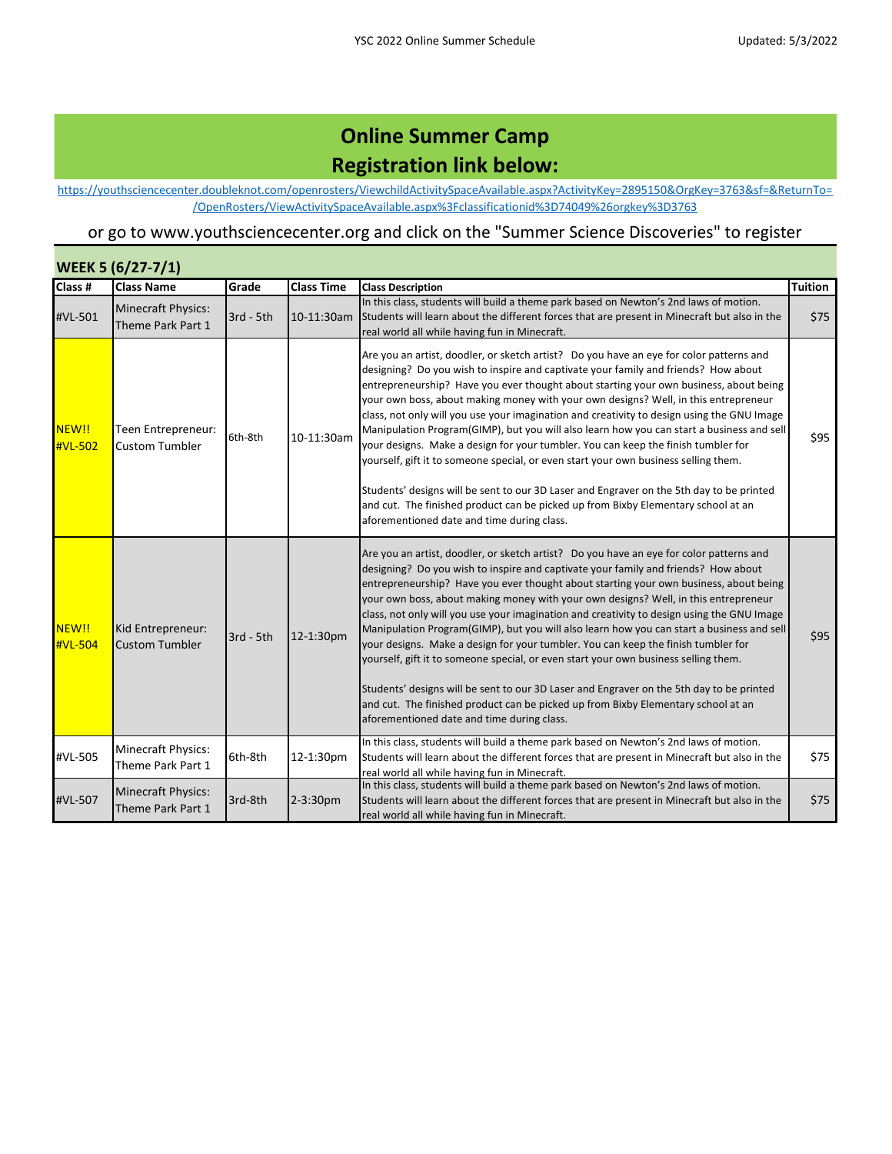[https://you](https://youthsciencecenter.doubleknot.com/openrosters/ViewchildActivitySpaceAvailable.aspx?ActivityKey=2895150&OrgKey=3763&sf=&ReturnTo=/OpenRosters/ViewActivitySpaceAvailable.aspx%3Fclassificationid%3D74049%26orgkey%3D3763)thsciencecenter.doubleknot.com/openrosters/ViewchildActivitySpaceAvailable.aspx?ActivityKey=2895150&OrgKey=3763&sf=&ReturnTo= /OpenRosters/ViewActivitySpaceAvailable.aspx%3Fclassificationid%3D74049%26orgkey%3D3763

| <b>WEEK 5 (6/27-7/1)</b> |                                                |             |                   |                                                                                                                                                                                                                                                                                                                                                                                                                                                                                                                                                                                                                                                                                                                                                                                                                                                                                                                                                                     |                |  |  |
|--------------------------|------------------------------------------------|-------------|-------------------|---------------------------------------------------------------------------------------------------------------------------------------------------------------------------------------------------------------------------------------------------------------------------------------------------------------------------------------------------------------------------------------------------------------------------------------------------------------------------------------------------------------------------------------------------------------------------------------------------------------------------------------------------------------------------------------------------------------------------------------------------------------------------------------------------------------------------------------------------------------------------------------------------------------------------------------------------------------------|----------------|--|--|
| Class #                  | <b>Class Name</b>                              | Grade       | <b>Class Time</b> | <b>Class Description</b>                                                                                                                                                                                                                                                                                                                                                                                                                                                                                                                                                                                                                                                                                                                                                                                                                                                                                                                                            | <b>Tuition</b> |  |  |
| #VL-501                  | Minecraft Physics:<br>Theme Park Part 1        | $3rd - 5th$ | 10-11:30am        | In this class, students will build a theme park based on Newton's 2nd laws of motion.<br>Students will learn about the different forces that are present in Minecraft but also in the<br>real world all while having fun in Minecraft.                                                                                                                                                                                                                                                                                                                                                                                                                                                                                                                                                                                                                                                                                                                              | \$75           |  |  |
| NEW!!<br>#VL-502         | Teen Entrepreneur:<br><b>Custom Tumbler</b>    | 6th-8th     | 10-11:30am        | Are you an artist, doodler, or sketch artist? Do you have an eye for color patterns and<br>designing? Do you wish to inspire and captivate your family and friends? How about<br>entrepreneurship? Have you ever thought about starting your own business, about being<br>your own boss, about making money with your own designs? Well, in this entrepreneur<br>class, not only will you use your imagination and creativity to design using the GNU Image<br>Manipulation Program(GIMP), but you will also learn how you can start a business and sell<br>your designs. Make a design for your tumbler. You can keep the finish tumbler for<br>yourself, gift it to someone special, or even start your own business selling them.<br>Students' designs will be sent to our 3D Laser and Engraver on the 5th day to be printed                                                                                                                                    | \$95           |  |  |
|                          |                                                |             |                   | and cut. The finished product can be picked up from Bixby Elementary school at an<br>aforementioned date and time during class.                                                                                                                                                                                                                                                                                                                                                                                                                                                                                                                                                                                                                                                                                                                                                                                                                                     |                |  |  |
| NEW!!<br>#VL-504         | Kid Entrepreneur:<br><b>Custom Tumbler</b>     | 3rd - 5th   | 12-1:30pm         | Are you an artist, doodler, or sketch artist? Do you have an eye for color patterns and<br>designing? Do you wish to inspire and captivate your family and friends? How about<br>entrepreneurship? Have you ever thought about starting your own business, about being<br>your own boss, about making money with your own designs? Well, in this entrepreneur<br>class, not only will you use your imagination and creativity to design using the GNU Image<br>Manipulation Program(GIMP), but you will also learn how you can start a business and sell<br>your designs. Make a design for your tumbler. You can keep the finish tumbler for<br>yourself, gift it to someone special, or even start your own business selling them.<br>Students' designs will be sent to our 3D Laser and Engraver on the 5th day to be printed<br>and cut. The finished product can be picked up from Bixby Elementary school at an<br>aforementioned date and time during class. | \$95           |  |  |
| #VL-505                  | Minecraft Physics:<br>Theme Park Part 1        | 6th-8th     | 12-1:30pm         | In this class, students will build a theme park based on Newton's 2nd laws of motion.<br>Students will learn about the different forces that are present in Minecraft but also in the<br>real world all while having fun in Minecraft.                                                                                                                                                                                                                                                                                                                                                                                                                                                                                                                                                                                                                                                                                                                              | \$75           |  |  |
| #VL-507                  | <b>Minecraft Physics:</b><br>Theme Park Part 1 | 3rd-8th     | 2-3:30pm          | In this class, students will build a theme park based on Newton's 2nd laws of motion.<br>Students will learn about the different forces that are present in Minecraft but also in the<br>real world all while having fun in Minecraft.                                                                                                                                                                                                                                                                                                                                                                                                                                                                                                                                                                                                                                                                                                                              | \$75           |  |  |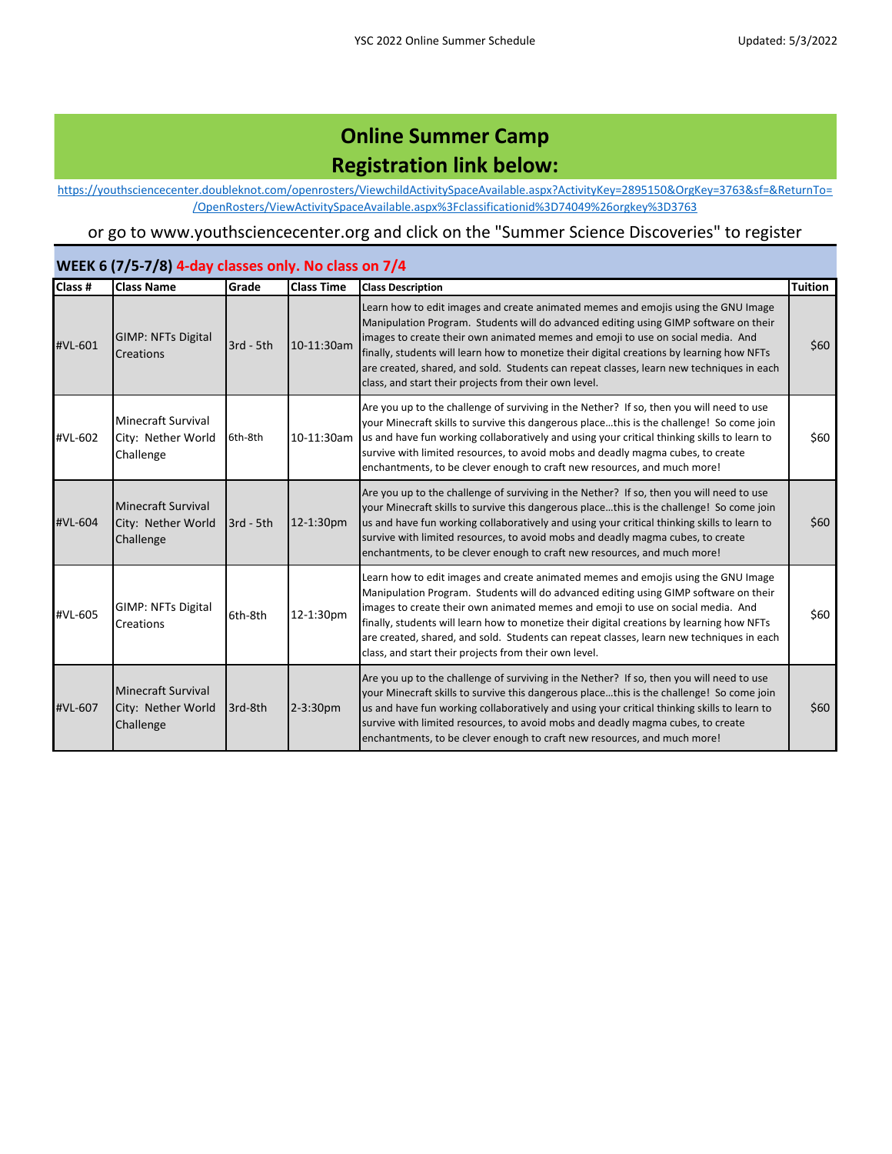[https://you](https://youthsciencecenter.doubleknot.com/openrosters/ViewchildActivitySpaceAvailable.aspx?ActivityKey=2895150&OrgKey=3763&sf=&ReturnTo=/OpenRosters/ViewActivitySpaceAvailable.aspx%3Fclassificationid%3D74049%26orgkey%3D3763)thsciencecenter.doubleknot.com/openrosters/ViewchildActivitySpaceAvailable.aspx?ActivityKey=2895150&OrgKey=3763&sf=&ReturnTo= /OpenRosters/ViewActivitySpaceAvailable.aspx%3Fclassificationid%3D74049%26orgkey%3D3763

#### or go to www.youthsciencecenter.org and click on the "Summer Science Discoveries" to register

#### **WEEK 6 (7/5-7/8) 4-day classes only. No class on 7/4**

| Class # | <b>Class Name</b>                                            | Grade       | <b>Class Time</b> | <b>Class Description</b>                                                                                                                                                                                                                                                                                                                                                                                                                                                                                       | <b>Tuition</b> |
|---------|--------------------------------------------------------------|-------------|-------------------|----------------------------------------------------------------------------------------------------------------------------------------------------------------------------------------------------------------------------------------------------------------------------------------------------------------------------------------------------------------------------------------------------------------------------------------------------------------------------------------------------------------|----------------|
| #VL-601 | <b>GIMP: NFTs Digital</b><br>Creations                       | $3rd - 5th$ | 10-11:30am        | Learn how to edit images and create animated memes and emojis using the GNU Image<br>Manipulation Program. Students will do advanced editing using GIMP software on their<br>images to create their own animated memes and emoji to use on social media. And<br>finally, students will learn how to monetize their digital creations by learning how NFTs<br>are created, shared, and sold. Students can repeat classes, learn new techniques in each<br>class, and start their projects from their own level. | \$60           |
| #VL-602 | <b>Minecraft Survival</b><br>City: Nether World<br>Challenge | 6th-8th     | 10-11:30am        | Are you up to the challenge of surviving in the Nether? If so, then you will need to use<br>your Minecraft skills to survive this dangerous placethis is the challenge! So come join<br>us and have fun working collaboratively and using your critical thinking skills to learn to<br>survive with limited resources, to avoid mobs and deadly magma cubes, to create<br>enchantments, to be clever enough to craft new resources, and much more!                                                             | \$60           |
| #VL-604 | <b>Minecraft Survival</b><br>City: Nether World<br>Challenge | $3rd - 5th$ | 12-1:30pm         | Are you up to the challenge of surviving in the Nether? If so, then you will need to use<br>your Minecraft skills to survive this dangerous placethis is the challenge! So come join<br>us and have fun working collaboratively and using your critical thinking skills to learn to<br>survive with limited resources, to avoid mobs and deadly magma cubes, to create<br>enchantments, to be clever enough to craft new resources, and much more!                                                             | \$60           |
| #VL-605 | <b>GIMP: NFTs Digital</b><br>Creations                       | 6th-8th     | 12-1:30pm         | Learn how to edit images and create animated memes and emojis using the GNU Image<br>Manipulation Program. Students will do advanced editing using GIMP software on their<br>images to create their own animated memes and emoji to use on social media. And<br>finally, students will learn how to monetize their digital creations by learning how NFTs<br>are created, shared, and sold. Students can repeat classes, learn new techniques in each<br>class, and start their projects from their own level. | \$60           |
| #VL-607 | Minecraft Survival<br>City: Nether World<br>Challenge        | 3rd-8th     | $ 2 - 3:30$ pm    | Are you up to the challenge of surviving in the Nether? If so, then you will need to use<br>your Minecraft skills to survive this dangerous placethis is the challenge! So come join<br>us and have fun working collaboratively and using your critical thinking skills to learn to<br>survive with limited resources, to avoid mobs and deadly magma cubes, to create<br>enchantments, to be clever enough to craft new resources, and much more!                                                             | \$60           |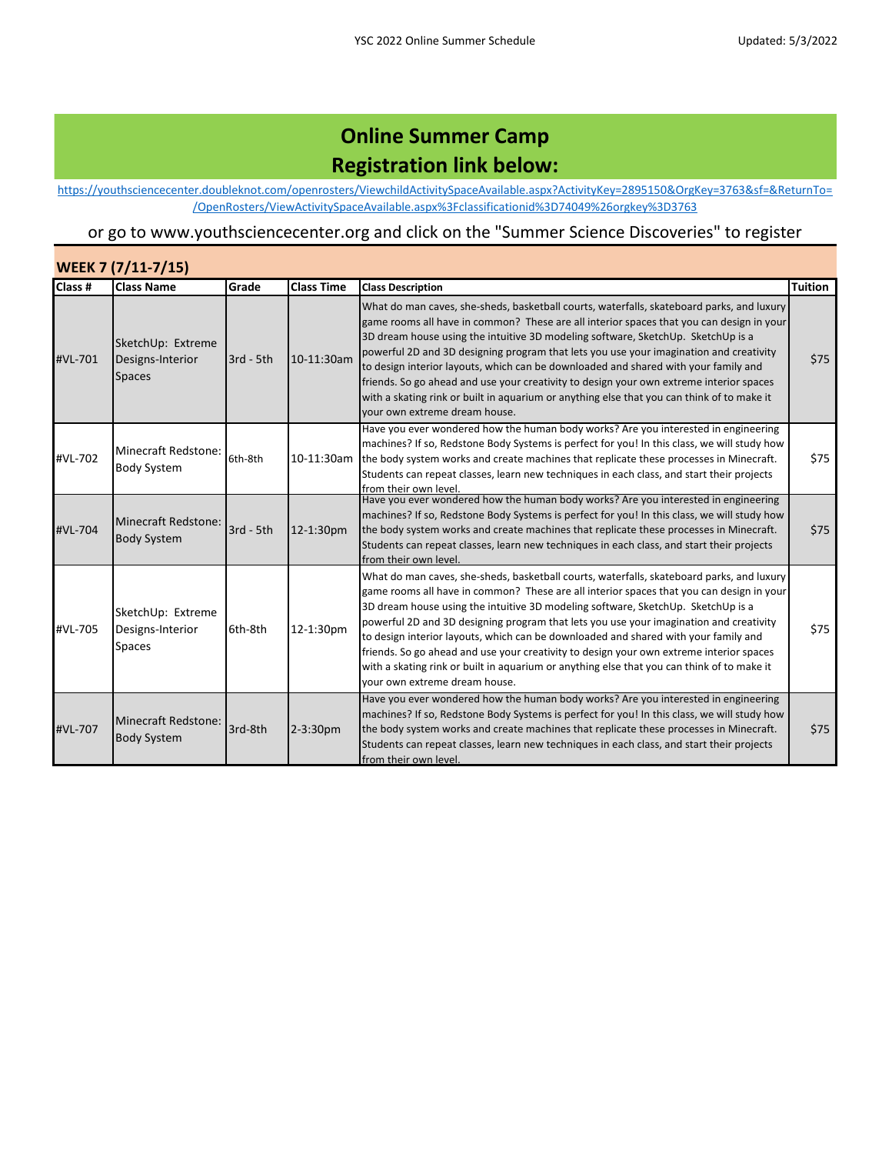[https://you](https://youthsciencecenter.doubleknot.com/openrosters/ViewchildActivitySpaceAvailable.aspx?ActivityKey=2895150&OrgKey=3763&sf=&ReturnTo=/OpenRosters/ViewActivitySpaceAvailable.aspx%3Fclassificationid%3D74049%26orgkey%3D3763)thsciencecenter.doubleknot.com/openrosters/ViewchildActivitySpaceAvailable.aspx?ActivityKey=2895150&OrgKey=3763&sf=&ReturnTo= /OpenRosters/ViewActivitySpaceAvailable.aspx%3Fclassificationid%3D74049%26orgkey%3D3763

| WEEK 7 (7/11-7/15) |                                                        |             |                   |                                                                                                                                                                                                                                                                                                                                                                                                                                                                                                                                                                                                                                                                                      |                |  |  |
|--------------------|--------------------------------------------------------|-------------|-------------------|--------------------------------------------------------------------------------------------------------------------------------------------------------------------------------------------------------------------------------------------------------------------------------------------------------------------------------------------------------------------------------------------------------------------------------------------------------------------------------------------------------------------------------------------------------------------------------------------------------------------------------------------------------------------------------------|----------------|--|--|
| Class #            | <b>Class Name</b>                                      | Grade       | <b>Class Time</b> | <b>Class Description</b>                                                                                                                                                                                                                                                                                                                                                                                                                                                                                                                                                                                                                                                             | <b>Tuition</b> |  |  |
| #VL-701            | SketchUp: Extreme<br>Designs-Interior<br><b>Spaces</b> | $3rd - 5th$ | 10-11:30am        | What do man caves, she-sheds, basketball courts, waterfalls, skateboard parks, and luxury<br>game rooms all have in common? These are all interior spaces that you can design in your<br>3D dream house using the intuitive 3D modeling software, SketchUp. SketchUp is a<br>powerful 2D and 3D designing program that lets you use your imagination and creativity<br>to design interior layouts, which can be downloaded and shared with your family and<br>friends. So go ahead and use your creativity to design your own extreme interior spaces<br>with a skating rink or built in aquarium or anything else that you can think of to make it<br>your own extreme dream house. | \$75           |  |  |
| #VL-702            | <b>Minecraft Redstone:</b><br><b>Body System</b>       | 6th-8th     | 10-11:30am        | Have you ever wondered how the human body works? Are you interested in engineering<br>machines? If so, Redstone Body Systems is perfect for you! In this class, we will study how<br>the body system works and create machines that replicate these processes in Minecraft.<br>Students can repeat classes, learn new techniques in each class, and start their projects<br>from their own level.                                                                                                                                                                                                                                                                                    | \$75           |  |  |
| #VL-704            | <b>Minecraft Redstone:</b><br><b>Body System</b>       | $3rd - 5th$ | 12-1:30pm         | Have you ever wondered how the human body works? Are you interested in engineering<br>machines? If so, Redstone Body Systems is perfect for you! In this class, we will study how<br>the body system works and create machines that replicate these processes in Minecraft.<br>Students can repeat classes, learn new techniques in each class, and start their projects<br>from their own level                                                                                                                                                                                                                                                                                     | \$75           |  |  |
| #VL-705            | SketchUp: Extreme<br>Designs-Interior<br><b>Spaces</b> | 6th-8th     | 12-1:30pm         | What do man caves, she-sheds, basketball courts, waterfalls, skateboard parks, and luxury<br>game rooms all have in common? These are all interior spaces that you can design in your<br>3D dream house using the intuitive 3D modeling software, SketchUp. SketchUp is a<br>powerful 2D and 3D designing program that lets you use your imagination and creativity<br>to design interior layouts, which can be downloaded and shared with your family and<br>friends. So go ahead and use your creativity to design your own extreme interior spaces<br>with a skating rink or built in aquarium or anything else that you can think of to make it<br>vour own extreme dream house. | \$75           |  |  |
| #VL-707            | <b>Minecraft Redstone:</b><br><b>Body System</b>       | 3rd-8th     | 2-3:30pm          | Have you ever wondered how the human body works? Are you interested in engineering<br>machines? If so, Redstone Body Systems is perfect for you! In this class, we will study how<br>the body system works and create machines that replicate these processes in Minecraft.<br>Students can repeat classes, learn new techniques in each class, and start their projects<br>from their own level.                                                                                                                                                                                                                                                                                    | \$75           |  |  |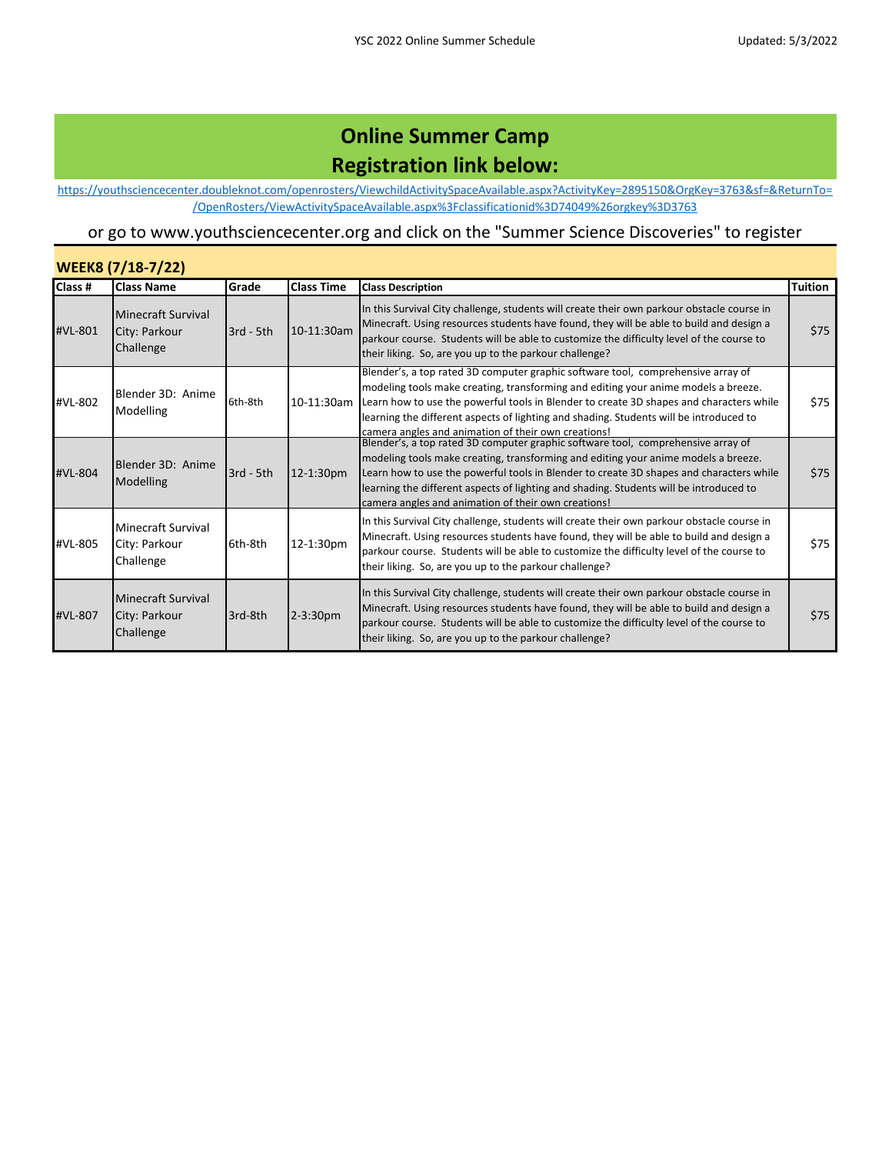[https://you](https://youthsciencecenter.doubleknot.com/openrosters/ViewchildActivitySpaceAvailable.aspx?ActivityKey=2895150&OrgKey=3763&sf=&ReturnTo=/OpenRosters/ViewActivitySpaceAvailable.aspx%3Fclassificationid%3D74049%26orgkey%3D3763)thsciencecenter.doubleknot.com/openrosters/ViewchildActivitySpaceAvailable.aspx?ActivityKey=2895150&OrgKey=3763&sf=&ReturnTo= /OpenRosters/ViewActivitySpaceAvailable.aspx%3Fclassificationid%3D74049%26orgkey%3D3763

|         | <b>WEEK8 (7/18-7/22)</b>                                |             |                   |                                                                                                                                                                                                                                                                                                                                                                                                                    |                |  |  |  |
|---------|---------------------------------------------------------|-------------|-------------------|--------------------------------------------------------------------------------------------------------------------------------------------------------------------------------------------------------------------------------------------------------------------------------------------------------------------------------------------------------------------------------------------------------------------|----------------|--|--|--|
| Class # | <b>Class Name</b>                                       | Grade       | <b>Class Time</b> | <b>Class Description</b>                                                                                                                                                                                                                                                                                                                                                                                           | <b>Tuition</b> |  |  |  |
| #VL-801 | Minecraft Survival<br>City: Parkour<br>Challenge        | $3rd - 5th$ | 10-11:30am        | In this Survival City challenge, students will create their own parkour obstacle course in<br>Minecraft. Using resources students have found, they will be able to build and design a<br>parkour course. Students will be able to customize the difficulty level of the course to<br>their liking. So, are you up to the parkour challenge?                                                                        | \$75           |  |  |  |
| #VL-802 | Blender 3D: Anime<br>Modelling                          | 6th-8th     | 10-11:30am        | Blender's, a top rated 3D computer graphic software tool, comprehensive array of<br>modeling tools make creating, transforming and editing your anime models a breeze.<br>Learn how to use the powerful tools in Blender to create 3D shapes and characters while<br>learning the different aspects of lighting and shading. Students will be introduced to<br>camera angles and animation of their own creations! | \$75           |  |  |  |
| #VL-804 | Blender 3D: Anime<br>Modelling                          | $3rd - 5th$ | 12-1:30pm         | Blender's, a top rated 3D computer graphic software tool, comprehensive array of<br>modeling tools make creating, transforming and editing your anime models a breeze.<br>Learn how to use the powerful tools in Blender to create 3D shapes and characters while<br>learning the different aspects of lighting and shading. Students will be introduced to<br>camera angles and animation of their own creations! | \$75           |  |  |  |
| #VL-805 | <b>Minecraft Survival</b><br>City: Parkour<br>Challenge | 6th-8th     | 12-1:30pm         | In this Survival City challenge, students will create their own parkour obstacle course in<br>Minecraft. Using resources students have found, they will be able to build and design a<br>parkour course. Students will be able to customize the difficulty level of the course to<br>their liking. So, are you up to the parkour challenge?                                                                        | \$75           |  |  |  |
| #VL-807 | Minecraft Survival<br>City: Parkour<br>Challenge        | 3rd-8th     | 2-3:30pm          | In this Survival City challenge, students will create their own parkour obstacle course in<br>Minecraft. Using resources students have found, they will be able to build and design a<br>parkour course. Students will be able to customize the difficulty level of the course to<br>their liking. So, are you up to the parkour challenge?                                                                        | \$75           |  |  |  |